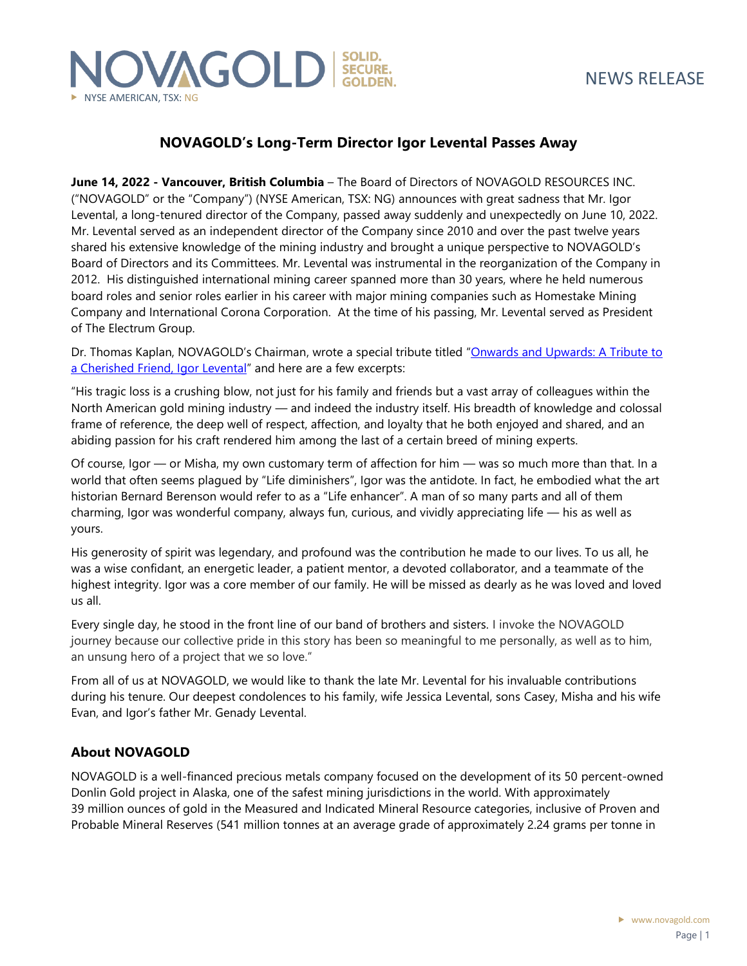

## **NOVAGOLD's Long-Term Director Igor Levental Passes Away**

**June 14, 2022 - Vancouver, British Columbia** – The Board of Directors of NOVAGOLD RESOURCES INC. ("NOVAGOLD" or the "Company") (NYSE American, TSX: NG) announces with great sadness that Mr. Igor Levental, a long-tenured director of the Company, passed away suddenly and unexpectedly on June 10, 2022. Mr. Levental served as an independent director of the Company since 2010 and over the past twelve years shared his extensive knowledge of the mining industry and brought a unique perspective to NOVAGOLD's Board of Directors and its Committees. Mr. Levental was instrumental in the reorganization of the Company in 2012. His distinguished international mining career spanned more than 30 years, where he held numerous board roles and senior roles earlier in his career with major mining companies such as Homestake Mining Company and International Corona Corporation. At the time of his passing, Mr. Levental served as President of The Electrum Group.

Dr. Thomas Kaplan, NOVAGOLD's Chairman, wrote a special tribute titled "[Onwards and Upwards: A Tribute to](http://www.novagold.com/_resources/tribute-igor-levental.pdf)  [a Cherished Friend, Igor Levental](http://www.novagold.com/_resources/tribute-igor-levental.pdf)" and here are a few excerpts:

"His tragic loss is a crushing blow, not just for his family and friends but a vast array of colleagues within the North American gold mining industry — and indeed the industry itself. His breadth of knowledge and colossal frame of reference, the deep well of respect, affection, and loyalty that he both enjoyed and shared, and an abiding passion for his craft rendered him among the last of a certain breed of mining experts.

Of course, Igor — or Misha, my own customary term of affection for him — was so much more than that. In a world that often seems plagued by "Life diminishers", Igor was the antidote. In fact, he embodied what the art historian Bernard Berenson would refer to as a "Life enhancer". A man of so many parts and all of them charming, Igor was wonderful company, always fun, curious, and vividly appreciating life — his as well as yours.

His generosity of spirit was legendary, and profound was the contribution he made to our lives. To us all, he was a wise confidant, an energetic leader, a patient mentor, a devoted collaborator, and a teammate of the highest integrity. Igor was a core member of our family. He will be missed as dearly as he was loved and loved us all.

Every single day, he stood in the front line of our band of brothers and sisters. I invoke the NOVAGOLD journey because our collective pride in this story has been so meaningful to me personally, as well as to him, an unsung hero of a project that we so love."

From all of us at NOVAGOLD, we would like to thank the late Mr. Levental for his invaluable contributions during his tenure. Our deepest condolences to his family, wife Jessica Levental, sons Casey, Misha and his wife Evan, and Igor's father Mr. Genady Levental.

### **About NOVAGOLD**

NOVAGOLD is a well-financed precious metals company focused on the development of its 50 percent-owned Donlin Gold project in Alaska, one of the safest mining jurisdictions in the world. With approximately 39 million ounces of gold in the Measured and Indicated Mineral Resource categories, inclusive of Proven and Probable Mineral Reserves (541 million tonnes at an average grade of approximately 2.24 grams per tonne in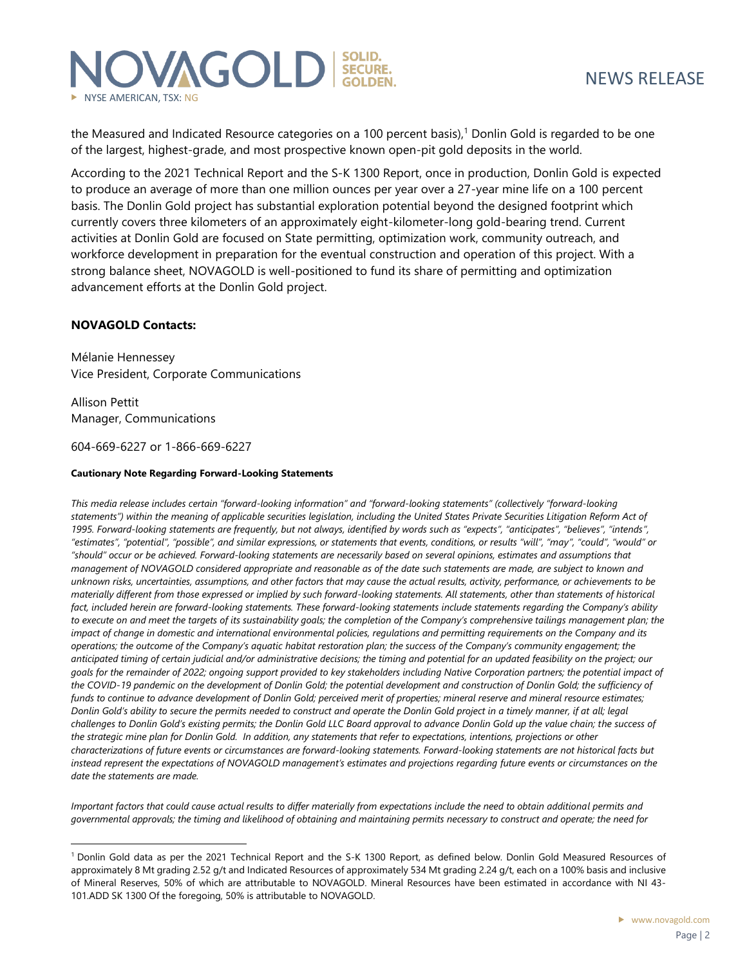

the Measured and Indicated Resource categories on a 100 percent basis),<sup>1</sup> Donlin Gold is regarded to be one of the largest, highest-grade, and most prospective known open-pit gold deposits in the world.

According to the 2021 Technical Report and the S-K 1300 Report, once in production, Donlin Gold is expected to produce an average of more than one million ounces per year over a 27-year mine life on a 100 percent basis. The Donlin Gold project has substantial exploration potential beyond the designed footprint which currently covers three kilometers of an approximately eight-kilometer-long gold-bearing trend. Current activities at Donlin Gold are focused on State permitting, optimization work, community outreach, and workforce development in preparation for the eventual construction and operation of this project. With a strong balance sheet, NOVAGOLD is well-positioned to fund its share of permitting and optimization advancement efforts at the Donlin Gold project.

#### **NOVAGOLD Contacts:**

Mélanie Hennessey Vice President, Corporate Communications

Allison Pettit Manager, Communications

604-669-6227 or 1-866-669-6227

#### **Cautionary Note Regarding Forward-Looking Statements**

*This media release includes certain "forward-looking information" and "forward-looking statements" (collectively "forward-looking statements") within the meaning of applicable securities legislation, including the United States Private Securities Litigation Reform Act of 1995. Forward-looking statements are frequently, but not always, identified by words such as "expects", "anticipates", "believes", "intends", "estimates", "potential", "possible", and similar expressions, or statements that events, conditions, or results "will", "may", "could", "would" or "should" occur or be achieved. Forward-looking statements are necessarily based on several opinions, estimates and assumptions that management of NOVAGOLD considered appropriate and reasonable as of the date such statements are made, are subject to known and unknown risks, uncertainties, assumptions, and other factors that may cause the actual results, activity, performance, or achievements to be materially different from those expressed or implied by such forward-looking statements. All statements, other than statements of historical fact, included herein are forward-looking statements. These forward-looking statements include statements regarding the Company's ability*  to execute on and meet the targets of its sustainability goals; the completion of the Company's comprehensive tailings management plan; the *impact of change in domestic and international environmental policies, regulations and permitting requirements on the Company and its operations; the outcome of the Company's aquatic habitat restoration plan; the success of the Company's community engagement; the anticipated timing of certain judicial and/or administrative decisions; the timing and potential for an updated feasibility on the project; our goals for the remainder of 2022; ongoing support provided to key stakeholders including Native Corporation partners; the potential impact of*  the COVID-19 pandemic on the development of Donlin Gold; the potential development and construction of Donlin Gold; the sufficiency of *funds to continue to advance development of Donlin Gold; perceived merit of properties; mineral reserve and mineral resource estimates; Donlin Gold's ability to secure the permits needed to construct and operate the Donlin Gold project in a timely manner, if at all; legal challenges to Donlin Gold's existing permits; the Donlin Gold LLC Board approval to advance Donlin Gold up the value chain; the success of the strategic mine plan for Donlin Gold. In addition, any statements that refer to expectations, intentions, projections or other characterizations of future events or circumstances are forward-looking statements. Forward-looking statements are not historical facts but*  instead represent the expectations of NOVAGOLD management's estimates and projections regarding future events or circumstances on the *date the statements are made.* 

*Important factors that could cause actual results to differ materially from expectations include the need to obtain additional permits and governmental approvals; the timing and likelihood of obtaining and maintaining permits necessary to construct and operate; the need for* 

<sup>1</sup> Donlin Gold data as per the 2021 Technical Report and the S-K 1300 Report, as defined below. Donlin Gold Measured Resources of approximately 8 Mt grading 2.52 g/t and Indicated Resources of approximately 534 Mt grading 2.24 g/t, each on a 100% basis and inclusive of Mineral Reserves, 50% of which are attributable to NOVAGOLD. Mineral Resources have been estimated in accordance with NI 43- 101.ADD SK 1300 Of the foregoing, 50% is attributable to NOVAGOLD.